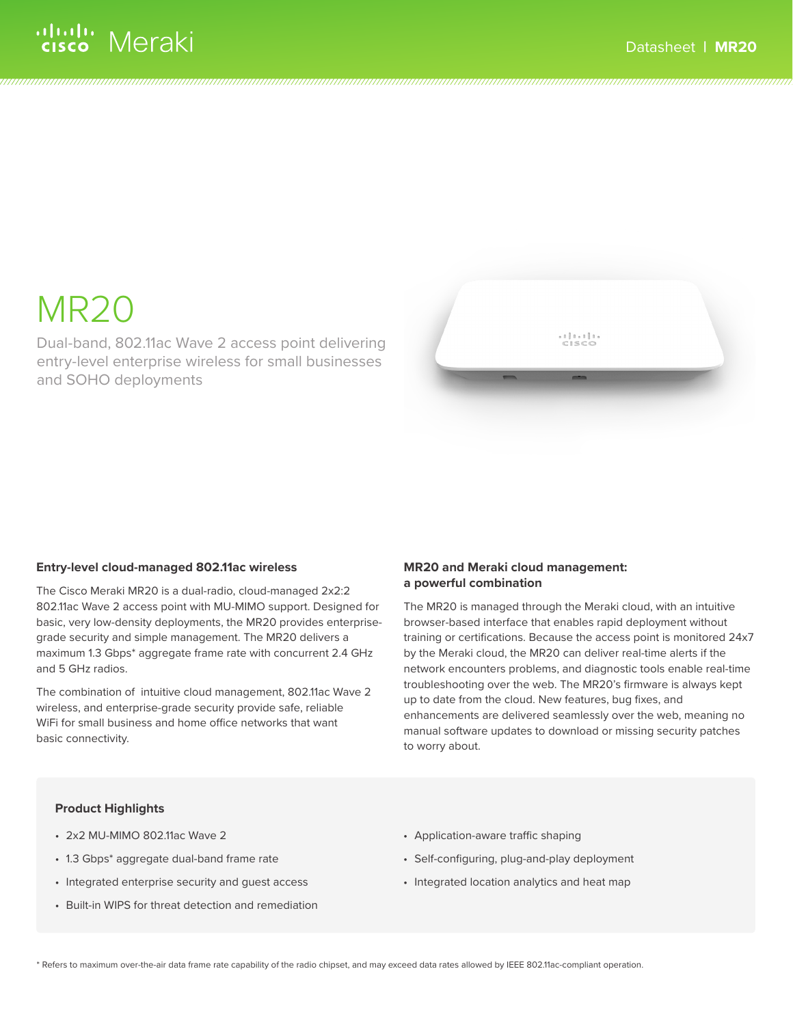# ululu Meraki

# MR20

Dual-band, 802.11ac Wave 2 access point delivering entry-level enterprise wireless for small businesses and SOHO deployments

# **Entry-level cloud-managed 802.11ac wireless**

The Cisco Meraki MR20 is a dual-radio, cloud-managed 2x2:2 802.11ac Wave 2 access point with MU-MIMO support. Designed for basic, very low-density deployments, the MR20 provides enterprisegrade security and simple management. The MR20 delivers a maximum 1.3 Gbps\* aggregate frame rate with concurrent 2.4 GHz and 5 GHz radios.

The combination of intuitive cloud management, 802.11ac Wave 2 wireless, and enterprise-grade security provide safe, reliable WiFi for small business and home office networks that want basic connectivity.

# **MR20 and Meraki cloud management: a powerful combination**

The MR20 is managed through the Meraki cloud, with an intuitive browser-based interface that enables rapid deployment without training or certifications. Because the access point is monitored 24x7 by the Meraki cloud, the MR20 can deliver real-time alerts if the network encounters problems, and diagnostic tools enable real-time troubleshooting over the web. The MR20's firmware is always kept up to date from the cloud. New features, bug fixes, and enhancements are delivered seamlessly over the web, meaning no manual software updates to download or missing security patches to worry about.

# **Product Highlights**

- 2x2 MU-MIMO 802.11ac Wave 2
- 1.3 Gbps\* aggregate dual-band frame rate
- Integrated enterprise security and guest access
- Built-in WIPS for threat detection and remediation
- Application-aware traffic shaping
- Self-configuring, plug-and-play deployment
- Integrated location analytics and heat map

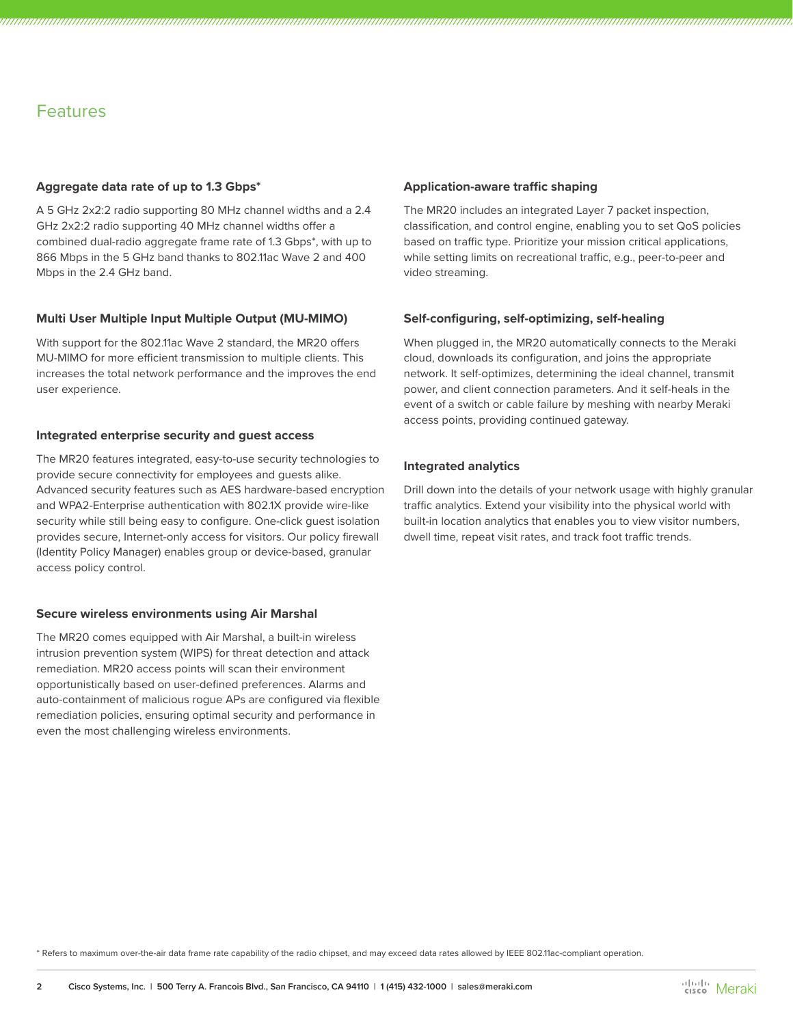# Features

# **Aggregate data rate of up to 1.3 Gbps\***

A 5 GHz 2x2:2 radio supporting 80 MHz channel widths and a 2.4 GHz 2x2:2 radio supporting 40 MHz channel widths offer a combined dual-radio aggregate frame rate of 1.3 Gbps\*, with up to 866 Mbps in the 5 GHz band thanks to 802.11ac Wave 2 and 400 Mbps in the 2.4 GHz band.

# **Multi User Multiple Input Multiple Output (MU-MIMO)**

With support for the 802.11ac Wave 2 standard, the MR20 offers MU-MIMO for more efficient transmission to multiple clients. This increases the total network performance and the improves the end user experience.

# **Integrated enterprise security and guest access**

The MR20 features integrated, easy-to-use security technologies to provide secure connectivity for employees and guests alike. Advanced security features such as AES hardware-based encryption and WPA2-Enterprise authentication with 802.1X provide wire-like security while still being easy to configure. One-click guest isolation provides secure, Internet-only access for visitors. Our policy firewall (Identity Policy Manager) enables group or device-based, granular access policy control.

# **Secure wireless environments using Air Marshal**

The MR20 comes equipped with Air Marshal, a built-in wireless intrusion prevention system (WIPS) for threat detection and attack remediation. MR20 access points will scan their environment opportunistically based on user-defined preferences. Alarms and auto-containment of malicious rogue APs are configured via flexible remediation policies, ensuring optimal security and performance in even the most challenging wireless environments.

## **Application-aware traffic shaping**

The MR20 includes an integrated Layer 7 packet inspection, classification, and control engine, enabling you to set QoS policies based on traffic type. Prioritize your mission critical applications, while setting limits on recreational traffic, e.g., peer-to-peer and video streaming.

# **Self-configuring, self-optimizing, self-healing**

When plugged in, the MR20 automatically connects to the Meraki cloud, downloads its configuration, and joins the appropriate network. It self-optimizes, determining the ideal channel, transmit power, and client connection parameters. And it self-heals in the event of a switch or cable failure by meshing with nearby Meraki access points, providing continued gateway.

# **Integrated analytics**

Drill down into the details of your network usage with highly granular traffic analytics. Extend your visibility into the physical world with built-in location analytics that enables you to view visitor numbers, dwell time, repeat visit rates, and track foot traffic trends.

\* Refers to maximum over-the-air data frame rate capability of the radio chipset, and may exceed data rates allowed by IEEE 802.11ac-compliant operation.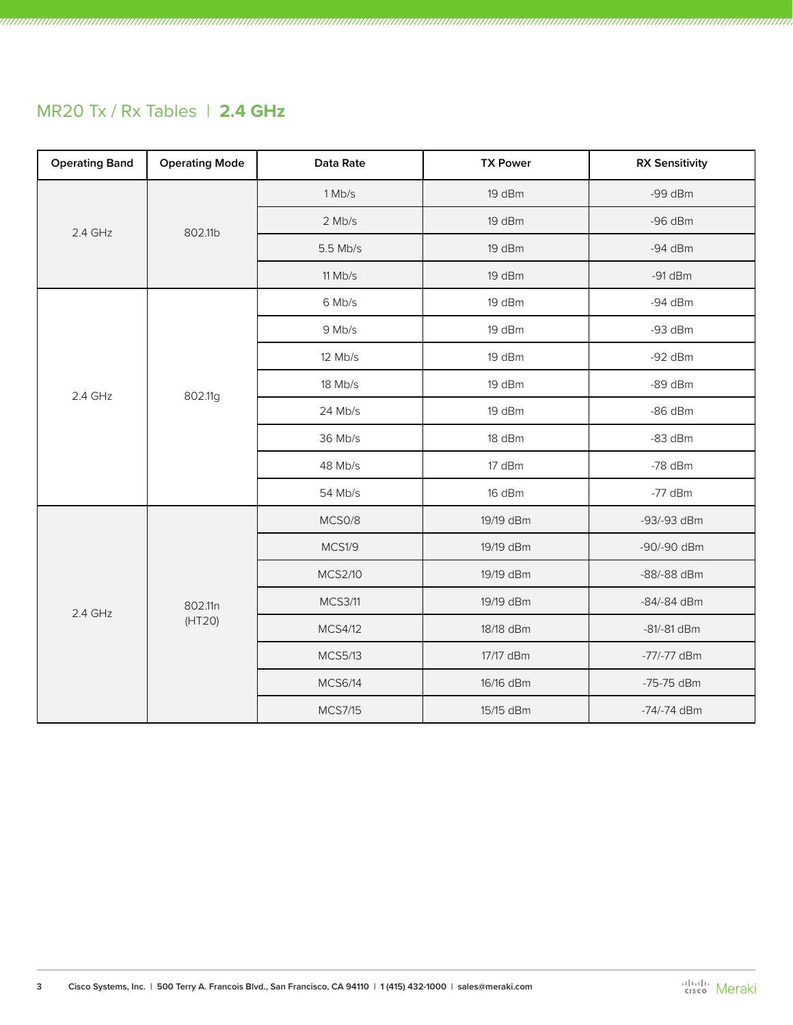# MR20 Tx / Rx Tables | **2.4 GHz**

| <b>Operating Band</b> | <b>Operating Mode</b> | Data Rate      | <b>TX Power</b> | <b>RX Sensitivity</b> |
|-----------------------|-----------------------|----------------|-----------------|-----------------------|
| $2.4$ GHz             | 802.11b               | 1 Mb/s         | 19 dBm          | $-99$ dBm             |
|                       |                       | $2$ Mb/s       | 19 dBm          | $-96$ dBm             |
|                       |                       | 5.5 Mb/s       | 19 dBm          | $-94$ dBm             |
|                       |                       | $11$ Mb/s      | 19 dBm          | $-91$ dBm             |
|                       |                       | 6 Mb/s         | 19 dBm          | $-94$ dBm             |
|                       |                       | 9 Mb/s         | 19 dBm          | $-93$ dBm             |
|                       |                       | 12 Mb/s        | 19 dBm          | $-92$ dBm             |
| 2.4 GHz               | 802.11g               | 18 Mb/s        | 19 dBm          | $-89$ dBm             |
|                       |                       | 24 Mb/s        | 19 dBm          | $-86$ dBm             |
|                       |                       | 36 Mb/s        | 18 dBm          | $-83$ dBm             |
|                       |                       | 48 Mb/s        | 17 dBm          | $-78$ dBm             |
|                       |                       | 54 Mb/s        | 16 dBm          | $-77$ dBm             |
| 2.4 GHz               | 802.11n<br>(HT20)     | MCS0/8         | 19/19 dBm       | -93/-93 dBm           |
|                       |                       | MCS1/9         | 19/19 dBm       | -90/-90 dBm           |
|                       |                       | <b>MCS2/10</b> | 19/19 dBm       | -88/-88 dBm           |
|                       |                       | <b>MCS3/11</b> | 19/19 dBm       | -84/-84 dBm           |
|                       |                       | <b>MCS4/12</b> | 18/18 dBm       | $-81/-81$ dBm         |
|                       |                       | <b>MCS5/13</b> | 17/17 dBm       | -77/-77 dBm           |
|                       |                       | <b>MCS6/14</b> | 16/16 dBm       | -75-75 dBm            |
|                       |                       | <b>MCS7/15</b> | 15/15 dBm       | -74/-74 dBm           |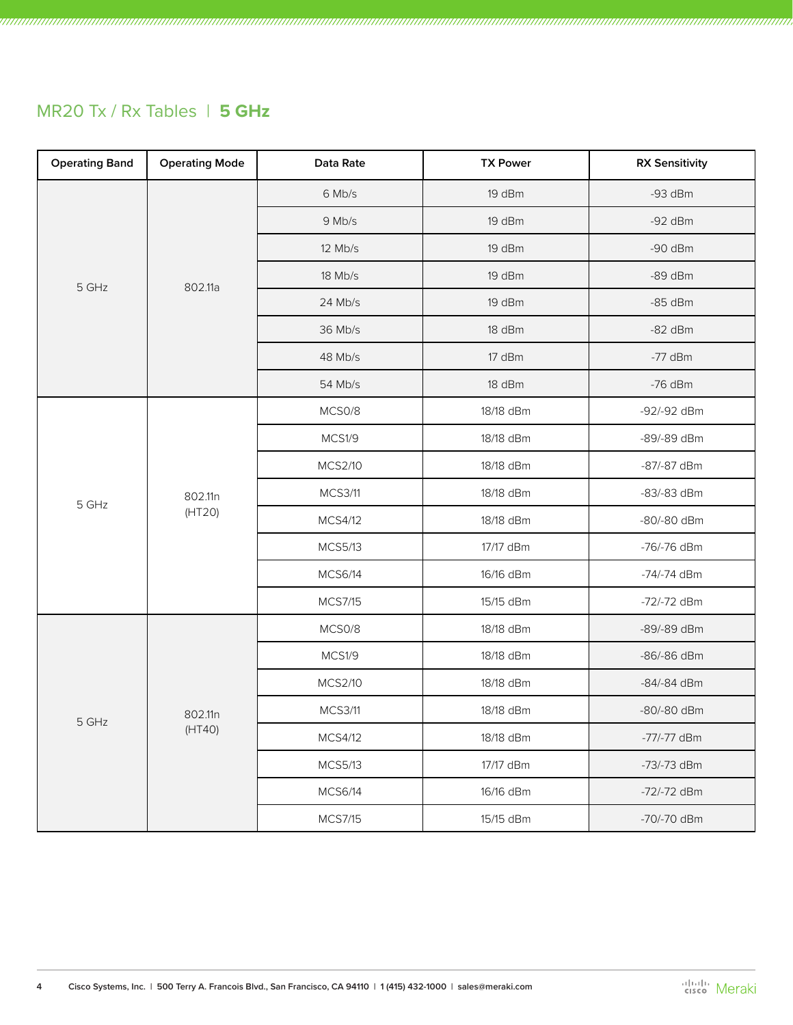# MR20 Tx / Rx Tables | **5 GHz**

| <b>Operating Band</b> | <b>Operating Mode</b> | Data Rate      | <b>TX Power</b> | <b>RX Sensitivity</b> |
|-----------------------|-----------------------|----------------|-----------------|-----------------------|
|                       | 802.11a               | 6 Mb/s         | 19 dBm          | $-93$ dBm             |
|                       |                       | 9 Mb/s         | 19 dBm          | $-92$ dBm             |
| 5 GHz                 |                       | 12 Mb/s        | 19 dBm          | $-90$ dBm             |
|                       |                       | 18 Mb/s        | 19 dBm          | $-89$ dBm             |
|                       |                       | 24 Mb/s        | 19 dBm          | $-85$ dBm             |
|                       |                       | 36 Mb/s        | 18 dBm          | $-82$ dBm             |
|                       |                       | 48 Mb/s        | 17 dBm          | $-77$ dBm             |
|                       |                       | 54 Mb/s        | 18 dBm          | $-76$ dBm             |
|                       |                       | MCS0/8         | 18/18 dBm       | -92/-92 dBm           |
|                       | 802.11n<br>(HT20)     | MCS1/9         | 18/18 dBm       | -89/-89 dBm           |
|                       |                       | <b>MCS2/10</b> | 18/18 dBm       | -87/-87 dBm           |
| 5 GHz                 |                       | <b>MCS3/11</b> | 18/18 dBm       | -83/-83 dBm           |
|                       |                       | MCS4/12        | 18/18 dBm       | -80/-80 dBm           |
|                       |                       | <b>MCS5/13</b> | 17/17 dBm       | -76/-76 dBm           |
|                       |                       | <b>MCS6/14</b> | 16/16 dBm       | -74/-74 dBm           |
|                       |                       | <b>MCS7/15</b> | 15/15 dBm       | -72/-72 dBm           |
|                       | 802.11n<br>(HT40)     | MCS0/8         | 18/18 dBm       | -89/-89 dBm           |
| 5 GHz                 |                       | MCS1/9         | 18/18 dBm       | -86/-86 dBm           |
|                       |                       | <b>MCS2/10</b> | 18/18 dBm       | -84/-84 dBm           |
|                       |                       | <b>MCS3/11</b> | 18/18 dBm       | -80/-80 dBm           |
|                       |                       | <b>MCS4/12</b> | 18/18 dBm       | -77/-77 dBm           |
|                       |                       | <b>MCS5/13</b> | 17/17 dBm       | -73/-73 dBm           |
|                       |                       | <b>MCS6/14</b> | 16/16 dBm       | -72/-72 dBm           |
|                       |                       | <b>MCS7/15</b> | 15/15 dBm       | -70/-70 dBm           |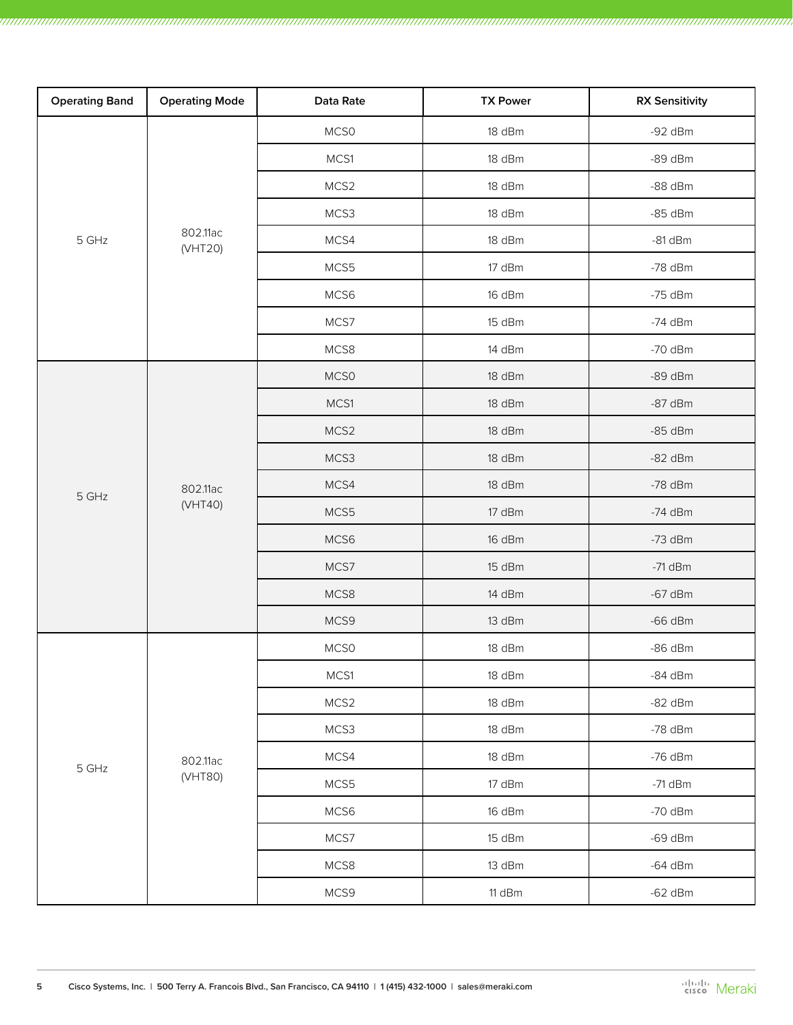| <b>Operating Band</b> | <b>Operating Mode</b> | Data Rate | <b>TX Power</b> | <b>RX Sensitivity</b> |
|-----------------------|-----------------------|-----------|-----------------|-----------------------|
|                       |                       | MCS0      | 18 dBm          | $-92$ dBm             |
|                       |                       | MCS1      | 18 dBm          | $-89$ dBm             |
|                       |                       | MCS2      | 18 dBm          | $-88$ dBm             |
| 5 GHz                 |                       | MCS3      | 18 dBm          | $-85$ dBm             |
|                       | 802.11ac<br>(VHT20)   | MCS4      | 18 dBm          | $-81$ dBm             |
|                       |                       | MCS5      | 17 dBm          | $-78$ dBm             |
|                       |                       | MCS6      | 16 dBm          | $-75$ dBm             |
|                       |                       | MCS7      | 15 dBm          | $-74$ dBm             |
|                       |                       | MCS8      | 14 dBm          | $-70$ dBm             |
|                       |                       | MCS0      | 18 dBm          | $-89$ dBm             |
|                       |                       | MCS1      | 18 dBm          | $-87$ dBm             |
|                       | 802.11ac<br>(VHT40)   | MCS2      | 18 dBm          | $-85$ dBm             |
|                       |                       | MCS3      | 18 dBm          | $-82$ dBm             |
| 5 GHz                 |                       | MCS4      | 18 dBm          | $-78$ dBm             |
|                       |                       | MCS5      | 17 dBm          | $-74$ dBm             |
|                       |                       | MCS6      | 16 dBm          | $-73$ dBm             |
|                       |                       | MCS7      | 15 dBm          | $-71$ dBm             |
|                       |                       | MCS8      | 14 dBm          | $-67$ dBm             |
|                       |                       | MCS9      | 13 dBm          | $-66$ dBm             |
|                       | 802.11ac<br>(VHT80)   | MCS0      | 18 dBm          | $-86$ dBm             |
|                       |                       | MCS1      | 18 dBm          | $-84$ dBm             |
| $5$ GHz               |                       | MCS2      | 18 dBm          | $-82$ dBm             |
|                       |                       | MCS3      | 18 dBm          | $-78$ dBm             |
|                       |                       | MCS4      | 18 dBm          | $-76$ dBm             |
|                       |                       | MCS5      | 17 dBm          | $-71$ dBm             |
|                       |                       | MCS6      | 16 dBm          | $-70$ dBm             |
|                       |                       | MCS7      | 15 dBm          | $-69$ dBm             |
|                       |                       | MCS8      | 13 dBm          | $-64$ dBm             |
|                       |                       | MCS9      | 11 dBm          | $-62$ dBm             |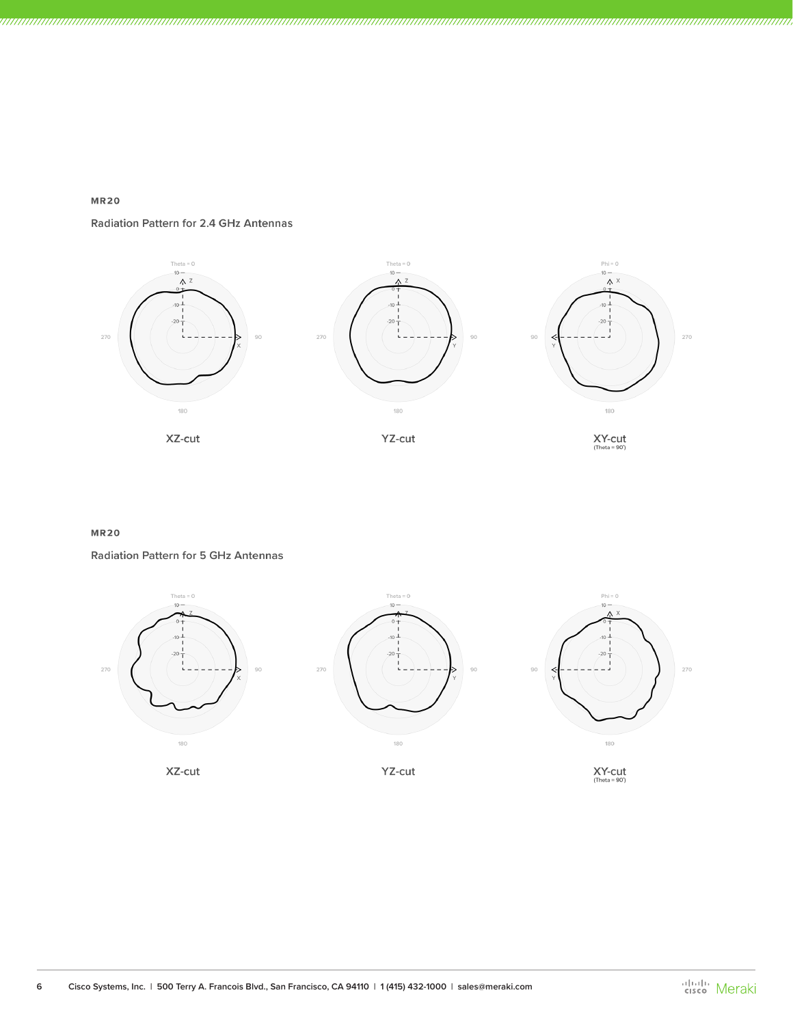# $MR20$

## Radiation Pattern for 2.4 GHz Antennas



### **MR20**

Radiation Pattern for 5 GHz Antennas

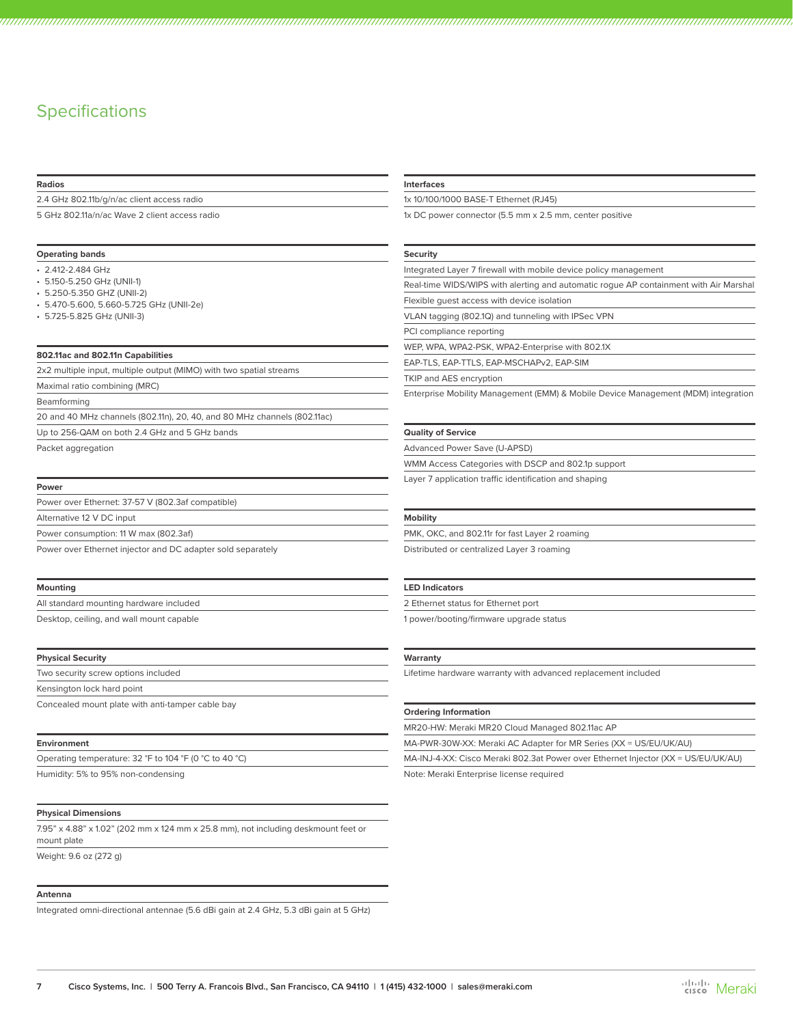# **Specifications**

#### **Radios**

2.4 GHz 802.11b/g/n/ac client access radio

5 GHz 802.11a/n/ac Wave 2 client access radio

### **Operating bands**

- 2.412-2.484 GHz
- 5.150-5.250 GHz (UNII-1)
- 5.250-5.350 GHZ (UNII-2)
- 5.470-5.600, 5.660-5.725 GHz (UNII-2e)
- 5.725-5.825 GHz (UNII-3)

#### **802.11ac and 802.11n Capabilities**

2x2 multiple input, multiple output (MIMO) with two spatial streams

Maximal ratio combining (MRC)

Beamforming

20 and 40 MHz channels (802.11n), 20, 40, and 80 MHz channels (802.11ac)

Up to 256-QAM on both 2.4 GHz and 5 GHz bands

Packet aggregation

#### **Power**

| Power over Ethernet: 37-57 V (802.3af compatible)           |  |
|-------------------------------------------------------------|--|
| Alternative 12 V DC input                                   |  |
| Power consumption: 11 W max (802.3af)                       |  |
| Power over Ethernet injector and DC adapter sold separately |  |
|                                                             |  |

#### **Mounting**

All standard mounting hardware included Desktop, ceiling, and wall mount capable

#### **Physical Security**

| Two security screw options included              |  |
|--------------------------------------------------|--|
| Kensington lock hard point                       |  |
| Concealed mount plate with anti-tamper cable bay |  |

#### **Environment**

| Operating temperature: 32 °F to 104 °F (0 °C to 40 °C) |  |
|--------------------------------------------------------|--|
|                                                        |  |

Humidity: 5% to 95% non-condensing

#### **Physical Dimensions**

7.95" x 4.88" x 1.02" (202 mm x 124 mm x 25.8 mm), not including deskmount feet or mount plate

Weight: 9.6 oz (272 g)

#### **Antenna**

Integrated omni-directional antennae (5.6 dBi gain at 2.4 GHz, 5.3 dBi gain at 5 GHz)

#### **Interfaces**

1x 10/100/1000 BASE-T Ethernet (RJ45)

1x DC power connector (5.5 mm x 2.5 mm, center positive

#### **Security**

Integrated Layer 7 firewall with mobile device policy management Real-time WIDS/WIPS with alerting and automatic rogue AP containment with Air Marshal

Flexible guest access with device isolation

VLAN tagging (802.1Q) and tunneling with IPSec VPN

PCI compliance reporting

WEP, WPA, WPA2-PSK, WPA2-Enterprise with 802.1X

EAP-TLS, EAP-TTLS, EAP-MSCHAPv2, EAP-SIM

TKIP and AES encryption

Enterprise Mobility Management (EMM) & Mobile Device Management (MDM) integration

#### **Quality of Service**

Advanced Power Save (U-APSD) WMM Access Categories with DSCP and 802.1p support

Layer 7 application traffic identification and shaping

#### **Mobility**

PMK, OKC, and 802.11r for fast Layer 2 roaming Distributed or centralized Layer 3 roaming

#### **LED Indicators**

2 Ethernet status for Ethernet port

1 power/booting/firmware upgrade status

#### **Warranty**

Lifetime hardware warranty with advanced replacement included

#### **Ordering Information**

MR20-HW: Meraki MR20 Cloud Managed 802.11ac AP

MA-PWR-30W-XX: Meraki AC Adapter for MR Series (XX = US/EU/UK/AU)

MA-INJ-4-XX: Cisco Meraki 802.3at Power over Ethernet Injector (XX = US/EU/UK/AU)

Note: Meraki Enterprise license required